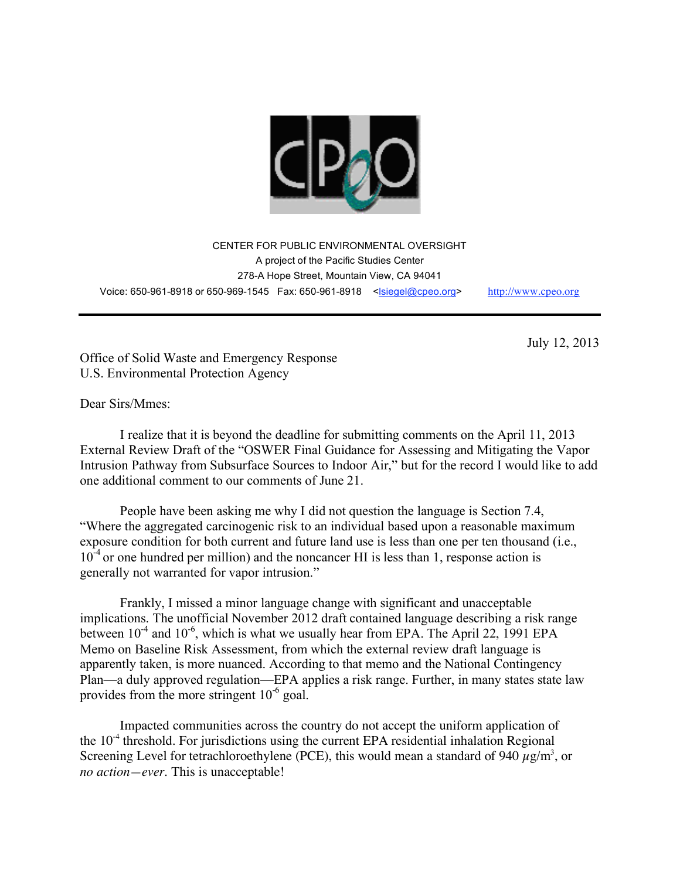

CENTER FOR PUBLIC ENVIRONMENTAL OVERSIGHT A project of the Pacific Studies Center 278-A Hope Street, Mountain View, CA 94041 Voice: 650-961-8918 or 650-969-1545 Fax: 650-961-8918 <lsiegel@cpeo.org> http://www.cpeo.org

July 12, 2013

Office of Solid Waste and Emergency Response U.S. Environmental Protection Agency

Dear Sirs/Mmes:

I realize that it is beyond the deadline for submitting comments on the April 11, 2013 External Review Draft of the "OSWER Final Guidance for Assessing and Mitigating the Vapor Intrusion Pathway from Subsurface Sources to Indoor Air," but for the record I would like to add one additional comment to our comments of June 21.

People have been asking me why I did not question the language is Section 7.4, "Where the aggregated carcinogenic risk to an individual based upon a reasonable maximum exposure condition for both current and future land use is less than one per ten thousand (i.e., 10<sup>-4</sup> or one hundred per million) and the noncancer HI is less than 1, response action is generally not warranted for vapor intrusion."

Frankly, I missed a minor language change with significant and unacceptable implications. The unofficial November 2012 draft contained language describing a risk range between  $10^{-4}$  and  $10^{-6}$ , which is what we usually hear from EPA. The April 22, 1991 EPA Memo on Baseline Risk Assessment, from which the external review draft language is apparently taken, is more nuanced. According to that memo and the National Contingency Plan—a duly approved regulation—EPA applies a risk range. Further, in many states state law provides from the more stringent  $10^{-6}$  goal.

Impacted communities across the country do not accept the uniform application of the  $10<sup>-4</sup>$  threshold. For jurisdictions using the current EPA residential inhalation Regional Screening Level for tetrachloroethylene (PCE), this would mean a standard of 940  $\mu$ g/m<sup>3</sup>, or *no action—ever*. This is unacceptable!